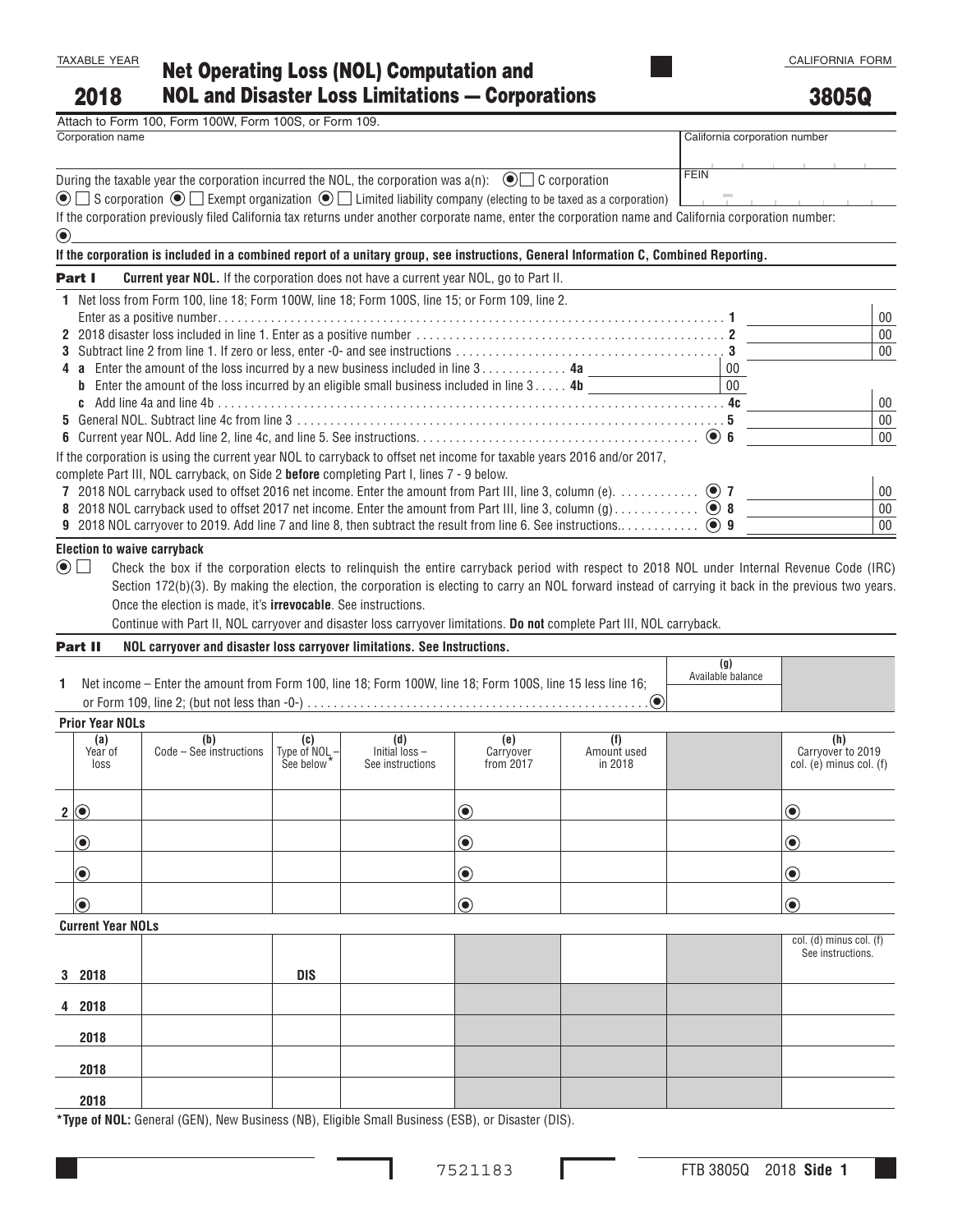2018

## 3805Q

| Attach to Form 100, Form 100W, Form 100S, or Form 109.                                                                                                                                                             |                               |        |
|--------------------------------------------------------------------------------------------------------------------------------------------------------------------------------------------------------------------|-------------------------------|--------|
| Corporation name                                                                                                                                                                                                   | California corporation number |        |
| During the taxable year the corporation incurred the NOL, the corporation was $a(n)$ : $\bigcirc$ C corporation                                                                                                    | <b>FEIN</b>                   |        |
| $\circledcirc$ S corporation $\circledcirc$ Exempt organization $\circledcirc$ L Limited liability company (electing to be taxed as a corporation)                                                                 |                               |        |
| If the corporation previously filed California tax returns under another corporate name, enter the corporation name and California corporation number:<br>$\odot$                                                  |                               |        |
| If the corporation is included in a combined report of a unitary group, see instructions, General Information C, Combined Reporting.                                                                               |                               |        |
| <b>Current year NOL.</b> If the corporation does not have a current year NOL, go to Part II.<br>Part I                                                                                                             |                               |        |
| Net loss from Form 100, line 18; Form 100W, line 18; Form 100S, line 15; or Form 109, line 2.<br>1.                                                                                                                |                               |        |
|                                                                                                                                                                                                                    |                               | $00\,$ |
|                                                                                                                                                                                                                    |                               | $00\,$ |
|                                                                                                                                                                                                                    |                               | $00\,$ |
| 4 a Enter the amount of the loss incurred by a new business included in line 3 4a                                                                                                                                  | $00\,$                        |        |
| <b>b</b> Enter the amount of the loss incurred by an eligible small business included in line $3 \ldots 4$ <b>4b</b>                                                                                               | $\overline{00}$               |        |
|                                                                                                                                                                                                                    |                               | 00     |
|                                                                                                                                                                                                                    |                               | $00\,$ |
|                                                                                                                                                                                                                    |                               | $00\,$ |
| If the corporation is using the current year NOL to carryback to offset net income for taxable years 2016 and/or 2017,<br>complete Part III, NOL carryback, on Side 2 before completing Part I, lines 7 - 9 below. |                               |        |
| 7 2018 NOL carryback used to offset 2016 net income. Enter the amount from Part III, line 3, column (e). $\ldots$ . $\ldots$                                                                                       |                               | $00\,$ |
| 8 2018 NOL carryback used to offset 2017 net income. Enter the amount from Part III, line 3, column (g) $\odot$ 8                                                                                                  |                               | 00     |
|                                                                                                                                                                                                                    |                               | 00     |
| <b>Election to waive carryback</b>                                                                                                                                                                                 |                               |        |
| $\left( \bullet \right)$<br>Check the box if the corporation elects to relinguish the entire carryback period with respect to 2018 NOL under Internal Revenue Code (IRC)<br>$\overline{\phantom{a}}$               |                               |        |
| Section 172(b)(3). By making the election, the corporation is electing to carry an NOL forward instead of carrying it back in the previous two years.                                                              |                               |        |

Once the election is made, it's **irrevocable**. See instructions.

Continue with Part II, NOL carryover and disaster loss carryover limitations. **Do not** complete Part III, NOL carryback.

## Part II **NOL carryover and disaster loss carryover limitations. See Instructions.**

| Net income – Enter the amount from Form 100, line 18; Form 100W, line 18; Form 100S, line 15 less line 16; | (g)<br>Available balance |  |
|------------------------------------------------------------------------------------------------------------|--------------------------|--|
|                                                                                                            |                          |  |
|                                                                                                            |                          |  |

## **Prior Year NOLs**

| <b>Prior Year NULS</b>        |                                  |                                                                                    |                                             |                                                                                    |                        |                                                     |
|-------------------------------|----------------------------------|------------------------------------------------------------------------------------|---------------------------------------------|------------------------------------------------------------------------------------|------------------------|-----------------------------------------------------|
| (a)<br>Year of<br>loss        | $(b)$<br>Code – See instructions | $\begin{bmatrix} \text{C} \\ \text{Type of NOL} \\ \text{See below} \end{bmatrix}$ | (d)<br>Initial $loss -$<br>See instructions | $\begin{array}{c} \text{(e)} \\ \text{Carryover} \\ \text{from } 2017 \end{array}$ | Amount used<br>in 2018 | (h)<br>Carryover to 2019<br>col. (e) minus col. (f) |
| $2$ $\odot$                   |                                  |                                                                                    |                                             | $\bigcirc$                                                                         |                        | $\bigcirc$                                          |
| $  \textcolor{teal}{\odot}$   |                                  |                                                                                    |                                             | $\bigcirc$                                                                         |                        | $\odot$                                             |
| $  \textcolor{teal}{\bullet}$ |                                  |                                                                                    |                                             | $\odot$                                                                            |                        | $\odot$                                             |
| $  \textcolor{teal}{\bullet}$ |                                  |                                                                                    |                                             | $\bigcirc$                                                                         |                        | $\odot$                                             |
| <b>Current Year NOLs</b>      |                                  |                                                                                    |                                             |                                                                                    |                        |                                                     |
|                               |                                  |                                                                                    |                                             |                                                                                    |                        | $col.$ (d) minus col. (f)<br>See instructions       |

| 3 2018 | <b>DIS</b> |  |  | $See$ instructions. |
|--------|------------|--|--|---------------------|
| 4 2018 |            |  |  |                     |
| 2018   |            |  |  |                     |
| 2018   |            |  |  |                     |
| 2018   |            |  |  |                     |

**\*Type of NOL:** General (GEN), New Business (NB), Eligible Small Business (ESB), or Disaster (DIS).

ı